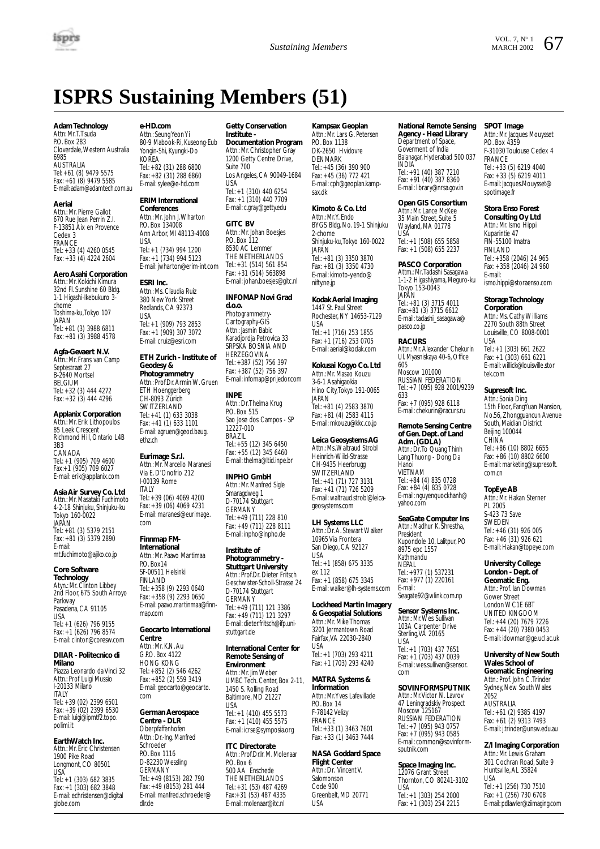

# **ISPRS Sustaining Members (51)**

# **Adam Technology**<br>Attn: Mr. T. Tsuda

P.O. Box 283 Cloverdale,Western Australia 6985 AUSTRALIA Tel: +61 (8) 9479 5575 Fax: +61 (8) 9479 5585 E-mail: adam@adamtech.com.au

#### **Aerial**

Attn.: Mr. Pierre Gallot 670 Rue Jean Perrin Z.I. F-13851 Aix en Provence Cedex 3 FRANCE Tel.: +33 (4) 4260 0545 Fax: +33 (4) 4224 2604

# **Aero Asahi Corporation**

Attn.: Mr. Kokichi Kimura 32nd Fl. Sunshine 60 Bldg. 1-1 Higashi-Ikebukuro 3 chome Toshima-ku,Tokyo 107 JAPAN Tel.: +81 (3) 3988 6811 Fax: +81 (3) 3988 4578

#### **Agfa-Gevaert N.V.** Attn.: Mr. Frans van Camp Septestraat 27 B-2640 Mortsel BELGIUM

Tel.: +32 (3) 444 4272 Fax: +32 (3) 444 4296

# **Applanix Corporation**

Attn.: Mr. Erik Lithopoulos 85 Leek Crescent Richmond Hill, Ontario L4B 3B3 CANADA Tel.: +1 (905) 709 4600 Fax:+1 (905) 709 6027 E-mail: erik@applanix.com

## **Asia Air Survey Co. Ltd** Attn.: Mr. Masataki Fuchimoto 4-2-18 Shinjuku, Shinjuku-ku

Tokyo 160-0022 JAPAN Tel.: +81 (3) 5379 2151 Fax: +81 (3) 5379 2890 E-mail: mt.fuchimoto@ajiko.co.jp

### **Core Software Technology**

Atyn.: Mr. Clinton Libbey 2nd Floor, 675 South Arroyo Parkway Pasadena, CA 91105 USA

Tel.: +1 (626) 796 9155 Fax: +1 (626) 796 8574 E-mail: clinton@coresw.com

#### **DIIAR - Politecnico di Milano**

Piazza Leonardo da Vinci 32 Attn.: Prof Luigi Mussio I-20133 Milano **ITALY** Tel.: +39 (02) 2399 6501 Fax: +39 (02) 2399 6530 E-mail: luigi@ipmtf2.topo. polimi.it

### **EarthWatch Inc.**

Attn.: Mr. Eric Christensen 1900 Pike Road Longmont, CO 80501 USA Tel.: +1 (303) 682 3835 Fax: +1 (303) 682 3848 E-mail: echristensen@digital globe.com

# **e-HD.com**

Attn.: Seung Yeon Yi 80-9 Mabook-Ri, Kuseong-Eub Yongin-Shi, Kyungki-Do KOREA Tel.: +82 (31) 288 6800 Fax: +82 (31) 288 6860 E-mail: sylee@e-hd.com

# **ERIM International**

**Conferences** Attn.: Mr. John J.Wharton P.O. Box 134008 Ann Arbor, MI 48113-4008 USA Tel.: +1 (734) 994 1200 Fax: +1 (734) 994 5123 E-mail: jwharton@erim-int.com

#### **ESRI Inc.**

Attn.: Ms. Claudia Ruiz 380 New York Street Redlands, CA 92373 USA Tel.: +1 (909) 793 2853 Fax: +1 (909) 307 3072 E-mail: cruiz@esri.com

### **ETH Zurich - Institute of Geodesy & Photogrammetry**

Attn.: Prof.Dr. Armin W. Gruen ETH Hoenggerberg CH-8093 Zürich SWITZERLAND Tel.: +41 (1) 633 3038 Fax: +41 (1) 633 1101 E-mail: agruen@geod.baug. ethz.ch

**Eurimage S.r.l.** Attn.: Mr. Marcello Maranesi Via E. D'Onofrio 212 I-00139 Rome **ITALY** Tel.: +39 (06) 4069 4200 Fax: +39 (06) 4069 4231 E-mail: maranesi@eurimage. com

## **Finnmap FM-**

#### **International** Attn.: Mr. Paavo Martimaa P.O. Box14 SF-00511 Helsinki

FINLAND Tel.: +358 (9) 2293 0640 Fax: +358 (9) 2293 0650 E-mail: paavo.martinmaa@finnmap.com

#### **Geocarto International Centre**

Attn.: Mr. K.N. Au G.P.O. Box 4122 HONG KONG Tel.: +852 (2) 546 4262 Fax: +852 (2) 559 3419 E-mail: geocarto@geocarto. com

#### **German Aerospace Centre - DLR**

**Oberpfaffenhofen** Attn.: Dr.-Ing. Manfred Schroeder P.O. Box 1116 D-82230 Wessling GERMANY Tel.: +49 (8153) 282 790 Fax: +49 (8153) 281 444 E-mail: manfred.schroeder@ dlr.de

# **Getty Conservation Institute -**

**Documentation Program** Attn.: Mr. Christopher Gray 1200 Getty Centre Drive, Suite 700 Los Angeles, CA 90049-1684 USA Tel.: +1 (310) 440 6254 Fax: +1 (310) 440 7709 E-mail: c.gray@getty.edu

### **GITC BV** Attn.: Mr. Johan Boesjes

P.O. Box 112 8530 AC Lemmer THE NETHERLANDS Tel.: +31 (514) 561 854 Fax: +31 (514) 563898 E-mail: johan.boesjes@gitc.nl

# **INFOMAP Novi Grad**

**d.o.o.** Photogrammetry-Cartography-GIS Attn.: Jasmin Babic Karadjordja Petrovica 33 SRPSKA BOSNIA AND HERZEGOVINA Tel.: +387 (52) 756 397 Fax: +387 (52) 756 397 E-mail: infomap@prijedor.com

## **INPE**

Attn.: Dr.Thelma Krug P.O. Box 515 Sao Jose dos Campos - SP 12227-010 BRAZIL Tel.: +55 (12) 345 6450 Fax: +55 (12) 345 6460 E-mail: thelma@ltid.inpe.br

## **INPHO GmbH**

Attn.: Mr. Manfred Sigle Smaragdweg 1 D-70174 Stuttgart **GERMANY** Tel.: +49 (711) 228 810 Fax: +49 (711) 228 8111 E-mail: inpho@inpho.de

#### **Institute of Photogrammetry -**

**Stuttgart University** Attn.: Prof.Dr. Dieter Fritsch Geschwister-Scholl-Strasse 24 D-70174 Stuttgart **GERMANY** Tel.: +49 (711) 121 3386 Fax: +49 (711) 121 3297 E-mail: dieter.fritsch@ifp.unistuttnart.de

#### **International Center for Remote Sensing of Environment**

Attn.: Mr. Jim Weber UMBC Tech. Center, Box 2-11, 1450 S. Rolling Road Baltimore, MD 21227 USA Tel.: +1 (410) 455 5573 Fax: +1 (410) 455 5575 E-mail: icrse@symposia.org

## **ITC Directorate**

Attn.: Prof.Dr.Ir. M. Molenaar PO. Box 6 500 AA Enschede THE NETHERLANDS Tel.: +31 (53) 487 4269 Fax:+31 (53) 487 4335 E-mail: molenaar@itc.nl

# **Kampsax Geoplan**

Attn.: Mr. Lars G. Petersen PO. Box 1138 DK-2650 Hvidovre **DENMARK** Tel.: +45 (36) 390 900 Fax: +45 (36) 772 421 E-mail: cph@geoplan.kampsax.dk

## **Kimoto & Co. Ltd**

Attn.: Mr.Y. Endo BYGS Bldg. No. 19-1 Shinjuku 2-chome Shinjuku-ku,Tokyo 160-0022 JAPAN Tel.: +81 (3) 3350 3870 Fax: +81 (3) 3350 4730 E-mail: kimoto-y.endo@ nifty.ne.jp

# **Kodak Aerial Imaging**

1447 St. Paul Street Rochester, NY 14653-7129 USA Tel.: +1 (716) 253 1855 Fax: +1 (716) 253 0705 E-mail: aerial@kodak.com

# **Kokusai Kogyo Co. Ltd**

Attn.: Mr. Masao Kouzu 3-6-1 Asahigaokia Hino City,Tokyo 191-0065 JAPAN Tel.: +81 (4) 2583 3870 Fax: +81 (4) 2583 4115 E-mail: mkouzu@kkc.co.jp

# **Leica Geosystems AG**

Attn.: Ms.Waltraud Strobl Heinrich-Wild-Strasse CH-9435 Heerbrugg SWITZERLAND Tel.: +41 (71) 727 3131 Fax: +41 (71) 726 5209 E-mail: waltraud.strobl@leicageosystems.com

# **LH Systems LLC**

Attn.: Dr. A. Stewart Walker 10965 Via Frontera San Diego, CA 92127 USA Tel.: +1 (858) 675 3335 ex 112 Fax: +1 (858) 675 3345 E-mail: walker@lh-systems.com

# **Lockheed Martin Imagery**

**& Geospatial Solutions** Attn.: Mr. Mike Thomas 3201 Jermantown Road Fairfax,VA 22030-2840 USA Tel.: +1 (703) 293 4211 Fax: +1 (703) 293 4240

# **MATRA Systems &**

**Information** Attn.: Mr.Yves Lafevillade P.O. Box 14 F-78142 Velizy FRANCE Tel.: +33 (1) 3463 7601 Fax: +33 (1) 3463 7444

#### **NASA Goddard Space Flight Center**

Attn.: Dr. Vincent V. Salomonson Code 900 Greenbelt, MD 20771 USA

# **National Remote Sensing**

**Agency - Head Library** Department of Space, Goverment of India Balanagar, Hyderabad 500 037 INDIA Tel.: +91 (40) 387 7210 Fax: +91 (40) 387 8360 E-mail: library@nrsa.gov.in

# **Open GIS Consortium**

Attn.: Mr. Lance McKee 35 Main Street, Suite 5 Wayland, MA 01778 USA Tel.: +1 (508) 655 5858 Fax: +1 (508) 655 2237

# **PASCO Corporation** Attm.: Mr.Tadashi Sasagawa

1-1-2 Higashiyama, Meguro-ku Tokyo 153-0043 **JAPAN** Tel.: +81 (3) 3715 4011 Fax:+81 (3) 3715 6612 E-mail: tadashi\_sasagawa@ pasco.co.jp

**RACURS** Attn.: Mr. Alexander Chekurin Ul. Myasniskaya 40-6, Office 605 Moscow 101000 RUSSIAN FEDERATION Tel.: +7 (095) 928 2001/9239 633 Fax: +7 (095) 928 6118 E-mail: chekurin@racurs.ru

# **Remote Sensing Centre of Gen. Dept. of Land Adm. (GDLA)** Attn.: Dr.To Quang Thinh Lang Thuong - Dong Da Hanoi VIETNAM Tel.: +84 (4) 835 0728 Fax: +84 (4) 835 0728 E-mail: nguyenquockhanh@

yahoo.com **SeaGate Computer Ins** Attn.: Madhur K. Shrestha, President Kupondole 10, Lalitpur, PO 8975 epc 1557 Kathmandu

NEPAL Tel.: +977 (1) 537231 Fax: +977 (1) 220161 E-mail: Seagate92@wlink.com.np

# **Sensor Systems Inc.** Attn.: Mr.Wes Sullivan 103A Carpenter Drive Sterling,VA 20165

USA Tel.: +1 (703) 437 7651 Fax: +1 (703) 437 0039 E-mail: wes.sullivan@sensor. com

# **SOVINFORMSPUTNIK**

Attn.: Mr. Victor N. Lavrov 47 Leningradskiy Prospect Moscow 125167 RUSSIAN FEDERATION Tel.: +7 (095) 943 0757 Fax: +7 (095) 943 0585 E-mail: common@sovinformsputnik.com

**Space Imaging Inc.** 12076 Grant Street Thornton, CO 80241-3102 USA Tel.: +1 (303) 254 2000 Fax: +1 (303) 254 2215

#### **SPOT Image**

Attn.: Mr. Jacques Mouysset **PO. Box 4359** F-31030 Toulouse Cedex 4 FRANCE Tel.: +33 (5) 6219 4040 Fax: +33 (5) 6219 4011 E-mail: Jacques.Mouysset@ spotimage.fr

# **Stora Enso Forest**

**Consulting Oy Ltd** Attn.: Mr. Ismo Hippi Kuparintie 47 FIN-55100 Imatra FINLAND Tel.: +358 (2046) 24 965 Fax: +358 (2046) 24 960 E-mail: ismo.hippi@storaenso.com

# **Storage Technology**

**Corporation** Attn.: Ms. Cathy Williams 2270 South 88th Street Louisville, CO 8008-0001 USA Tel.: +1 (303) 661 2622 Fax: +1 (303) 661 6221 E-mail: willick@louisville.stor tek.com

# **Supresoft Inc.**

Attn.: Sonia Ding 15th Floor, FangYuan Mansion, No.56, Zhongguancun Avenue South, Maidian District Beijing 100044 **CHINA** Tel.: +86 (10) 8802 6655 Fax: +86 (10) 8802 6600 E-mail: marketing@supresoft. com.cn

#### **TopEye AB** Attn.: Mr. Hakan Sterner PL 2005 S-423 73 Save

SWEDEN Tel.: +46 (31) 926 005 Fax: +46 (31) 926 621 E-mail: Hakan@topeye.com **University College London - Dept. of Geomatic Eng.** Attn.: Prof. Ian Dowman Gower Street London WC1E 6BT UNITED KINGDOM Tel.: +44 (20) 7679 7226 Fax: +44 (20) 7380 0453 E-mail: idowman@ge.ucl.ac.uk **University of New South Wales School of Geomatic Engineering** Attn.: Prof. John C.Trinder Sydney, New South Wales

2052 AUSTRALIA Tel.: +61 (2) 9385 4197 Fax: +61 (2) 9313 7493 E-mail: j.trinder@unsw.edu.au **Z/I Imaging Corporation** Attn.: Mr. Lewis Graham 301 Cochran Road, Suite 9 Huntsville, AL 35824 USA

Tel.: +1 (256) 730 7510 Fax: +1 (256) 730 6708 E-mail: pdlawler@ziimaging.com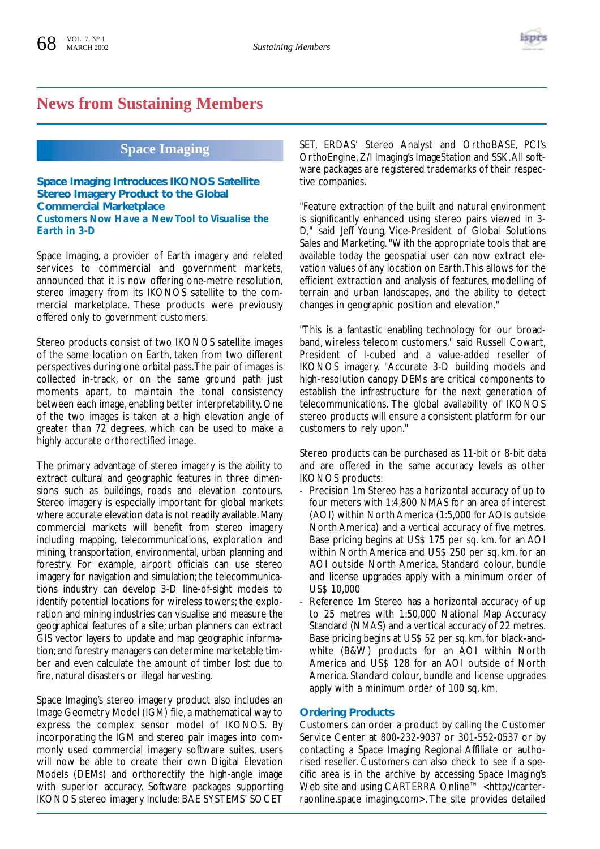

# **News from Sustaining Members**

# **Space Imaging**

**Space Imaging Introduces IKONOS Satellite Stereo Imagery Product to the Global Commercial Marketplace**  *Customers Now Have a New Tool to Visualise the Earth in 3-D*

Space Imaging, a provider of Earth imagery and related services to commercial and government markets, announced that it is now offering one-metre resolution, stereo imagery from its IKONOS satellite to the commercial marketplace. These products were previously offered only to government customers.

Stereo products consist of two IKONOS satellite images of the same location on Earth, taken from two different perspectives during one orbital pass.The pair of images is collected in-track, or on the same ground path just moments apart, to maintain the tonal consistency between each image, enabling better interpretability. One of the two images is taken at a high elevation angle of greater than 72 degrees, which can be used to make a highly accurate orthorectified image.

The primary advantage of stereo imagery is the ability to extract cultural and geographic features in three dimensions such as buildings, roads and elevation contours. Stereo imagery is especially important for global markets where accurate elevation data is not readily available. Many commercial markets will benefit from stereo imagery including mapping, telecommunications, exploration and mining, transportation, environmental, urban planning and forestry. For example, airport officials can use stereo imagery for navigation and simulation; the telecommunications industry can develop 3-D line-of-sight models to identify potential locations for wireless towers; the exploration and mining industries can visualise and measure the geographical features of a site; urban planners can extract GIS vector layers to update and map geographic information;and forestry managers can determine marketable timber and even calculate the amount of timber lost due to fire, natural disasters or illegal harvesting.

Space Imaging's stereo imagery product also includes an Image Geometry Model (IGM) file, a mathematical way to express the complex sensor model of IKONOS. By incorporating the IGM and stereo pair images into commonly used commercial imagery software suites, users will now be able to create their own Digital Elevation Models (DEMs) and orthorectify the high-angle image with superior accuracy. Software packages supporting IKONOS stereo imagery include: BAE SYSTEMS' SOCET

SET, ERDAS' Stereo Analyst and OrthoBASE, PCI's OrthoEngine, Z/I Imaging's ImageStation and SSK.All software packages are registered trademarks of their respective companies.

"Feature extraction of the built and natural environment is significantly enhanced using stereo pairs viewed in 3- D," said Jeff Young, Vice-President of Global Solutions Sales and Marketing. "With the appropriate tools that are available today the geospatial user can now extract elevation values of any location on Earth.This allows for the efficient extraction and analysis of features, modelling of terrain and urban landscapes, and the ability to detect changes in geographic position and elevation."

"This is a fantastic enabling technology for our broadband, wireless telecom customers," said Russell Cowart, President of I-cubed and a value-added reseller of IKONOS imagery. "Accurate 3-D building models and high-resolution canopy DEMs are critical components to establish the infrastructure for the next generation of telecommunications. The global availability of IKONOS stereo products will ensure a consistent platform for our customers to rely upon."

Stereo products can be purchased as 11-bit or 8-bit data and are offered in the same accuracy levels as other IKONOS products:

- Precision 1m Stereo has a horizontal accuracy of up to four meters with 1:4,800 NMAS for an area of interest (AOI) within North America (1:5,000 for AOIs outside North America) and a vertical accuracy of five metres. Base pricing begins at US\$ 175 per sq. km. for an AOI within North America and US\$ 250 per sq. km. for an AOI outside North America. Standard colour, bundle and license upgrades apply with a minimum order of US\$ 10,000
- Reference 1m Stereo has a horizontal accuracy of up to 25 metres with 1:50,000 National Map Accuracy Standard (NMAS) and a vertical accuracy of 22 metres. Base pricing begins at US\$ 52 per sq. km. for black-andwhite (B&W) products for an AOI within North America and US\$ 128 for an AOI outside of North America. Standard colour, bundle and license upgrades apply with a minimum order of 100 sq. km.

# **Ordering Products**

Customers can order a product by calling the Customer Service Center at 800-232-9037 or 301-552-0537 or by contacting a Space Imaging Regional Affiliate or authorised reseller. Customers can also check to see if a specific area is in the archive by accessing Space Imaging's Web site and using CARTERRA Online™ <http://carterraonline.space imaging.com>. The site provides detailed